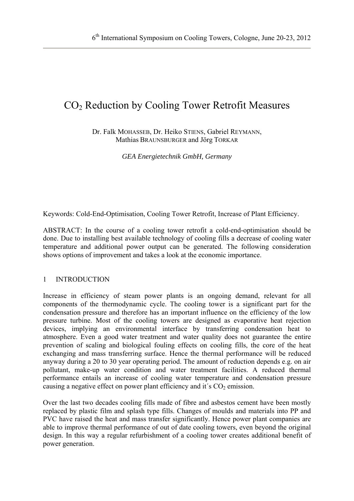# CO<sub>2</sub> Reduction by Cooling Tower Retrofit Measures

Dr. Falk MOHASSEB, Dr. Heiko STIENS, Gabriel REYMANN, Mathias BRAUNSBURGER and Jörg TORKAR

*GEA Energietechnik GmbH, Germany* 

Keywords: Cold-End-Optimisation, Cooling Tower Retrofit, Increase of Plant Efficiency.

ABSTRACT: In the course of a cooling tower retrofit a cold-end-optimisation should be done. Due to installing best available technology of cooling fills a decrease of cooling water temperature and additional power output can be generated. The following consideration shows options of improvement and takes a look at the economic importance.

# 1 INTRODUCTION

Increase in efficiency of steam power plants is an ongoing demand, relevant for all components of the thermodynamic cycle. The cooling tower is a significant part for the condensation pressure and therefore has an important influence on the efficiency of the low pressure turbine. Most of the cooling towers are designed as evaporative heat rejection devices, implying an environmental interface by transferring condensation heat to atmosphere. Even a good water treatment and water quality does not guarantee the entire prevention of scaling and biological fouling effects on cooling fills, the core of the heat exchanging and mass transferring surface. Hence the thermal performance will be reduced anyway during a 20 to 30 year operating period. The amount of reduction depends e.g. on air pollutant, make-up water condition and water treatment facilities. A reduced thermal performance entails an increase of cooling water temperature and condensation pressure causing a negative effect on power plant efficiency and it's  $CO<sub>2</sub>$  emission.

Over the last two decades cooling fills made of fibre and asbestos cement have been mostly replaced by plastic film and splash type fills. Changes of moulds and materials into PP and PVC have raised the heat and mass transfer significantly. Hence power plant companies are able to improve thermal performance of out of date cooling towers, even beyond the original design. In this way a regular refurbishment of a cooling tower creates additional benefit of power generation.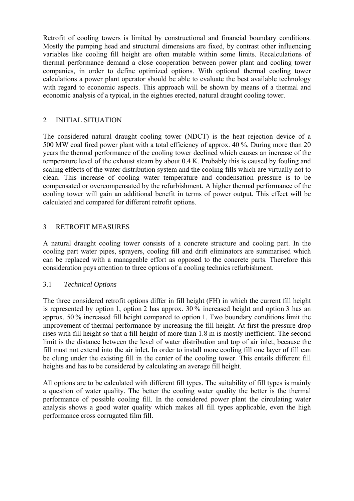Retrofit of cooling towers is limited by constructional and financial boundary conditions. Mostly the pumping head and structural dimensions are fixed, by contrast other influencing variables like cooling fill height are often mutable within some limits. Recalculations of thermal performance demand a close cooperation between power plant and cooling tower companies, in order to define optimized options. With optional thermal cooling tower calculations a power plant operator should be able to evaluate the best available technology with regard to economic aspects. This approach will be shown by means of a thermal and economic analysis of a typical, in the eighties erected, natural draught cooling tower.

## 2 INITIAL SITUATION

The considered natural draught cooling tower (NDCT) is the heat rejection device of a 500 MW coal fired power plant with a total efficiency of approx. 40 %. During more than 20 years the thermal performance of the cooling tower declined which causes an increase of the temperature level of the exhaust steam by about 0.4 K. Probably this is caused by fouling and scaling effects of the water distribution system and the cooling fills which are virtually not to clean. This increase of cooling water temperature and condensation pressure is to be compensated or overcompensated by the refurbishment. A higher thermal performance of the cooling tower will gain an additional benefit in terms of power output. This effect will be calculated and compared for different retrofit options.

## 3 RETROFIT MEASURES

A natural draught cooling tower consists of a concrete structure and cooling part. In the cooling part water pipes, sprayers, cooling fill and drift eliminators are summarised which can be replaced with a manageable effort as opposed to the concrete parts. Therefore this consideration pays attention to three options of a cooling technics refurbishment.

#### 3.1 *Technical Options*

The three considered retrofit options differ in fill height (FH) in which the current fill height is represented by option 1, option 2 has approx. 30 % increased height and option 3 has an approx. 50 % increased fill height compared to option 1. Two boundary conditions limit the improvement of thermal performance by increasing the fill height. At first the pressure drop rises with fill height so that a fill height of more than 1.8 m is mostly inefficient. The second limit is the distance between the level of water distribution and top of air inlet, because the fill must not extend into the air inlet. In order to install more cooling fill one layer of fill can be clung under the existing fill in the center of the cooling tower. This entails different fill heights and has to be considered by calculating an average fill height.

All options are to be calculated with different fill types. The suitability of fill types is mainly a question of water quality. The better the cooling water quality the better is the thermal performance of possible cooling fill. In the considered power plant the circulating water analysis shows a good water quality which makes all fill types applicable, even the high performance cross corrugated film fill.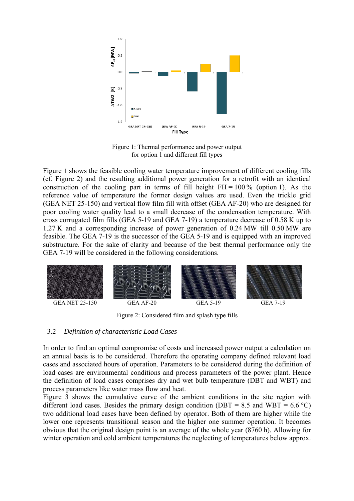

Figure 1: Thermal performance and power output for option 1 and different fill types

Figure 1 shows the feasible cooling water temperature improvement of different cooling fills (cf. Figure 2) and the resulting additional power generation for a retrofit with an identical construction of the cooling part in terms of fill height  $FH = 100\%$  (option 1). As the reference value of temperature the former design values are used. Even the trickle grid (GEA NET 25-150) and vertical flow film fill with offset (GEA AF-20) who are designed for poor cooling water quality lead to a small decrease of the condensation temperature. With cross corrugated film fills (GEA 5-19 and GEA 7-19) a temperature decrease of 0.58 K up to 1.27 K and a corresponding increase of power generation of 0.24 MW till 0.50 MW are feasible. The GEA 7-19 is the successor of the GEA 5-19 and is equipped with an improved substructure. For the sake of clarity and because of the best thermal performance only the GEA 7-19 will be considered in the following considerations.



Figure 2: Considered film and splash type fills

#### 3.2 *Definition of characteristic Load Cases*

In order to find an optimal compromise of costs and increased power output a calculation on an annual basis is to be considered. Therefore the operating company defined relevant load cases and associated hours of operation. Parameters to be considered during the definition of load cases are environmental conditions and process parameters of the power plant. Hence the definition of load cases comprises dry and wet bulb temperature (DBT and WBT) and process parameters like water mass flow and heat.

Figure 3 shows the cumulative curve of the ambient conditions in the site region with different load cases. Besides the primary design condition (DBT = 8.5 and WBT = 6.6 °C) two additional load cases have been defined by operator. Both of them are higher while the lower one represents transitional season and the higher one summer operation. It becomes obvious that the original design point is an average of the whole year (8760 h). Allowing for winter operation and cold ambient temperatures the neglecting of temperatures below approx.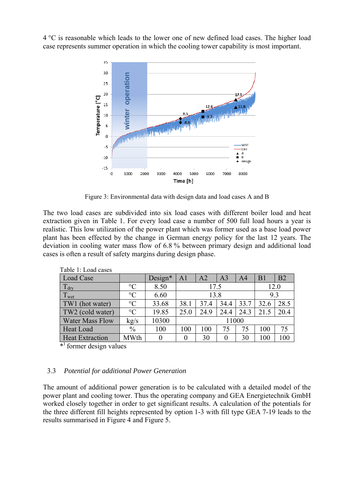4 °C is reasonable which leads to the lower one of new defined load cases. The higher load case represents summer operation in which the cooling tower capability is most important.



Figure 3: Environmental data with design data and load cases A and B

The two load cases are subdivided into six load cases with different boiler load and heat extraction given in Table 1. For every load case a number of 500 full load hours a year is realistic. This low utilization of the power plant which was former used as a base load power plant has been effected by the change in German energy policy for the last 12 years. The deviation in cooling water mass flow of 6.8 % between primary design and additional load cases is often a result of safety margins during design phase.

| Table T. Load cases    |                 |           |                |      |                |      |                |                |
|------------------------|-----------------|-----------|----------------|------|----------------|------|----------------|----------------|
| Load Case              |                 | $Design*$ | A <sub>1</sub> | A2   | A <sub>3</sub> | A4   | B <sub>1</sub> | B <sub>2</sub> |
| $T_{\text{dry}}$       | $\rm ^{\circ}C$ | 8.50      | 17.5           |      |                |      | 12.0           |                |
| Twet                   | $\rm ^{\circ}C$ | 6.60      | 13.8           |      |                |      | 9.3            |                |
| TW1<br>(hot water)     | $\rm ^{\circ}C$ | 33.68     | 38.1           | 37.4 | 34.4           | 33.7 | 32.6           | 28.5           |
| TW2 (cold water)       | $\rm ^{\circ}C$ | 19.85     | 25.0           | 24.9 | 24.4           | 24.3 | 21.5           | 20.4           |
| <b>Water Mass Flow</b> | kg/s            | 10300     | 11000          |      |                |      |                |                |
| <b>Heat Load</b>       | $\%$            | 100       | 100            | 100  | 75             | 75   | 100            | 75             |
| <b>Heat Extraction</b> | <b>MWth</b>     | 0         | 0              | 30   |                | 30   | 100            | 100            |
|                        |                 |           |                |      |                |      |                |                |

Table 1: Load cases

\*) former design values

#### 3.3 *Potential for additional Power Generation*

The amount of additional power generation is to be calculated with a detailed model of the power plant and cooling tower. Thus the operating company and GEA Energietechnik GmbH worked closely together in order to get significant results. A calculation of the potentials for the three different fill heights represented by option 1-3 with fill type GEA 7-19 leads to the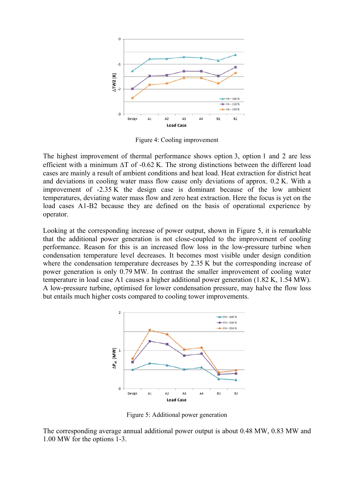

Figure 4: Cooling improvement

The highest improvement of thermal performance shows option 3, option 1 and 2 are less efficient with a minimum  $\Delta T$  of -0.62 K. The strong distinctions between the different load cases are mainly a result of ambient conditions and heat load. Heat extraction for district heat and deviations in cooling water mass flow cause only deviations of approx. 0.2 K. With a improvement of -2.35 K the design case is dominant because of the low ambient temperatures, deviating water mass flow and zero heat extraction. Here the focus is yet on the load cases A1-B2 because they are defined on the basis of operational experience by operator.

Looking at the corresponding increase of power output, shown in Figure 5, it is remarkable that the additional power generation is not close-coupled to the improvement of cooling performance. Reason for this is an increased flow loss in the low-pressure turbine when condensation temperature level decreases. It becomes most visible under design condition where the condensation temperature decreases by 2.35 K but the corresponding increase of power generation is only 0.79 MW. In contrast the smaller improvement of cooling water temperature in load case A1 causes a higher additional power generation (1.82 K, 1.54 MW). A low-pressure turbine, optimised for lower condensation pressure, may halve the flow loss but entails much higher costs compared to cooling tower improvements.



Figure 5: Additional power generation

The corresponding average annual additional power output is about 0.48 MW, 0.83 MW and 1.00 MW for the options 1-3.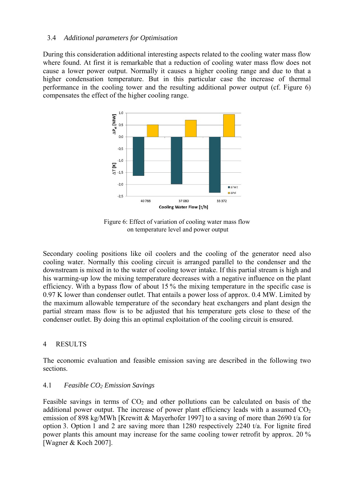## 3.4 *Additional parameters for Optimisation*

During this consideration additional interesting aspects related to the cooling water mass flow where found. At first it is remarkable that a reduction of cooling water mass flow does not cause a lower power output. Normally it causes a higher cooling range and due to that a higher condensation temperature. But in this particular case the increase of thermal performance in the cooling tower and the resulting additional power output (cf. Figure 6) compensates the effect of the higher cooling range.



Figure 6: Effect of variation of cooling water mass flow on temperature level and power output

Secondary cooling positions like oil coolers and the cooling of the generator need also cooling water. Normally this cooling circuit is arranged parallel to the condenser and the downstream is mixed in to the water of cooling tower intake. If this partial stream is high and his warming-up low the mixing temperature decreases with a negative influence on the plant efficiency. With a bypass flow of about 15 % the mixing temperature in the specific case is 0.97 K lower than condenser outlet. That entails a power loss of approx. 0.4 MW. Limited by the maximum allowable temperature of the secondary heat exchangers and plant design the partial stream mass flow is to be adjusted that his temperature gets close to these of the condenser outlet. By doing this an optimal exploitation of the cooling circuit is ensured.

# 4 RESULTS

The economic evaluation and feasible emission saving are described in the following two sections.

# 4.1 *Feasible CO2 Emission Savings*

Feasible savings in terms of  $CO<sub>2</sub>$  and other pollutions can be calculated on basis of the additional power output. The increase of power plant efficiency leads with a assumed  $CO<sub>2</sub>$ emission of 898 kg/MWh [Krewitt & Mayerhofer 1997] to a saving of more than 2690 t/a for option 3. Option 1 and 2 are saving more than 1280 respectively 2240 t/a. For lignite fired power plants this amount may increase for the same cooling tower retrofit by approx. 20 % [Wagner & Koch 2007].